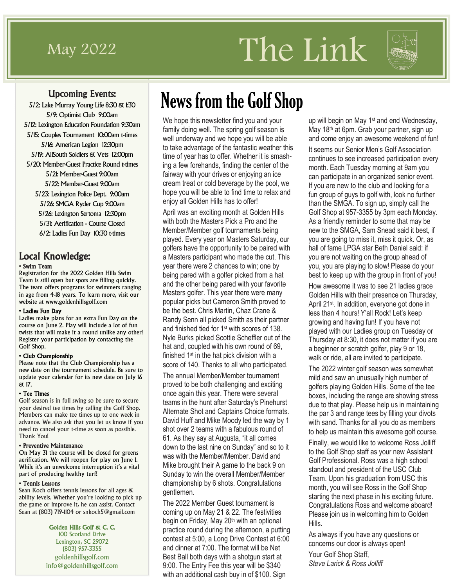# $\frac{1}{\text{May 2022}}$  The Link



### Upcoming Events:

5/2: Lake Murray Young Life 8:30 & 1:30 5/9: Optimist Club 9:00am 5/12: Lexington Education Foundation 9:30am 5/15: Couples Tournament 10:00am t-times 5/16: American Legion 12:30pm 5/19: AllSouth Soldiers & Vets 12:00pm 5/20: Member-Guest Practice Round t-times 5/21: Member-Guest 9:00am 5/22: Member-Guest 9:00am 5/23: Lexington Police Dept. 9:00am 5/26: SMGA Ryder Cup 9:00am 5/26: Lexington Sertoma 12:30pm 5/31: Aerification - Course Closed 6/2: Ladies Fun Day 10:30 t-times

### Local Knowledge:

#### • Swim Team

Registration for the 2022 Golden Hills Swim Team is still open but spots are filling quickly. The team offers programs for swimmers ranging in age from 4-18 years. To learn more, visit our website at www.goldenhillsgolf.com

#### • Ladies Fun Day

Ladies make plans for an extra Fun Day on the course on June 2. Play will include a lot of fun twists that will make it a round unlike any other! Register your participation by contacting the Golf Shop.

#### • Club Championship

Please note that the Club Championship has a new date on the tournament schedule. Be sure to update your calendar for its new date on July 16 & 17.

#### • Tee Times

Golf season is in full swing so be sure to secure your desired tee times by calling the Golf Shop. Members can make tee times up to one week in advance. We also ask that you let us know if you need to cancel your t-time as soon as possible. Thank You!

#### • Preventive Maintenance

On May 31 the course will be closed for greens aerification. We will reopen for play on June 1. While it's an unwelcome interruption it's a vital part of producing healthy turf!

#### • Tennis Lessons

Sean Koch offers tennis lessons for all ages & ability levels. Whether you're looking to pick up the game or improve it, he can assist. Contact Sean at (803) 719-1104 or snkoch5@gmail.com

#### Golden Hills Golf & C. C.

100 Scotland Drive Lexington, SC 29072 (803) 957-3355 goldenhillsgolf.com info@goldenhillsgolf.com

# News from the Golf Shop

We hope this newsletter find you and your family doing well. The spring golf season is well underway and we hope you will be able to take advantage of the fantastic weather this time of year has to offer. Whether it is smashing a few forehands, finding the center of the fairway with your drives or enjoying an ice cream treat or cold beverage by the pool, we hope you will be able to find time to relax and enjoy all Golden Hills has to offer!

April was an exciting month at Golden Hills with both the Masters Pick a Pro and the Member/Member golf tournaments being played. Every year on Masters Saturday, our golfers have the opportunity to be paired with a Masters participant who made the cut. This year there were 2 chances to win; one by being pared with a golfer picked from a hat and the other being pared with your favorite Masters golfer. This year there were many popular picks but Cameron Smith proved to be the best. Chris Martin, Chaz Crane & Randy Senn all picked Smith as their partner and finished tied for 1st with scores of 138. Nyle Burks picked Scottie Scheffler out of the hat and, coupled with his own round of 69, finished 1st in the hat pick division with a score of 140. Thanks to all who participated. The annual Member/Member tournament proved to be both challenging and exciting once again this year. There were several teams in the hunt after Saturday's Pinehurst Alternate Shot and Captains Choice formats. David Huff and Mike Moody led the way by 1 shot over 2 teams with a fabulous round of 61. As they say at Augusta, "it all comes down to the last nine on Sunday" and so to it was with the Member/Member. David and Mike brought their A game to the back 9 on Sunday to win the overall Member/Member championship by 6 shots. Congratulations gentlemen.

The 2022 Member Guest tournament is coming up on May 21 & 22. The festivities begin on Friday, May 20<sup>th</sup> with an optional practice round during the afternoon, a putting contest at 5:00, a Long Drive Contest at 6:00 and dinner at 7:00. The format will be Net Best Ball both days with a shotgun start at 9:00. The Entry Fee this year will be \$340 with an additional cash buy in of \$100. Sign

up will begin on May 1<sup>st</sup> and end Wednesday, May 18<sup>th</sup> at 6pm. Grab your partner, sign up and come enjoy an awesome weekend of fun! It seems our Senior Men's Golf Association continues to see increased participation every month. Each Tuesday morning at 9am you can participate in an organized senior event. If you are new to the club and looking for a fun group of guys to golf with, look no further than the SMGA. To sign up, simply call the Golf Shop at 957-3355 by 3pm each Monday. As a friendly reminder to some that may be new to the SMGA, Sam Snead said it best, if you are going to miss it, miss it quick. Or, as hall of fame LPGA star Beth Daniel said: if you are not waiting on the group ahead of you, you are playing to slow! Please do your best to keep up with the group in front of you!

How awesome it was to see 21 ladies grace Golden Hills with their presence on Thursday, April 21st. In addition, everyone got done in less than 4 hours! Y'all Rock! Let's keep growing and having fun! If you have not played with our Ladies group on Tuesday or Thursday at 8:30, it does not matter if you are a beginner or scratch golfer, play 9 or 18, walk or ride, all are invited to participate.

The 2022 winter golf season was somewhat mild and saw an unusually high number of golfers playing Golden Hills. Some of the tee boxes, including the range are showing stress due to that play. Please help us in maintaining the par 3 and range tees by filling your divots with sand. Thanks for all you do as members to help us maintain this awesome golf course.

Finally, we would like to welcome Ross Jolliff to the Golf Shop staff as your new Assistant Golf Professional. Ross was a high school standout and president of the USC Club Team. Upon his graduation from USC this month, you will see Ross in the Golf Shop starting the next phase in his exciting future. Congratulations Ross and welcome aboard! Please join us in welcoming him to Golden Hills.

As always if you have any questions or concerns our door is always open!

Your Golf Shop Staff, *Steve Larick & Ross Jolliff*